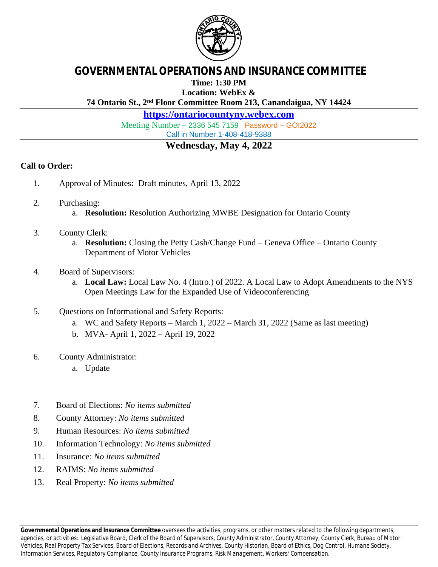

## **GOVERNMENTAL OPERATIONS AND INSURANCE COMMITTEE**

**Time: 1:30 PM**

**Location: WebEx &**

**74 Ontario St., 2nd Floor Committee Room 213, Canandaigua, NY 14424**

**<https://ontariocountyny.webex.com>**

Meeting Number – 2336 545 7159 Password – GOI2022

Call in Number 1-408-418-9388

## **Wednesday, May 4, 2022**

## **Call to Order:**

- 1. Approval of Minutes**:** Draft minutes, April 13, 2022
- 2. Purchasing:
	- a. **Resolution:** Resolution Authorizing MWBE Designation for Ontario County
- 3. County Clerk:
	- a. **Resolution:** Closing the Petty Cash/Change Fund Geneva Office Ontario County Department of Motor Vehicles
- 4. Board of Supervisors:
	- a. **Local Law:** Local Law No. 4 (Intro.) of 2022. A Local Law to Adopt Amendments to the NYS Open Meetings Law for the Expanded Use of Videoconferencing
- 5. Questions on Informational and Safety Reports:
	- a. WC and Safety Reports March 1, 2022 March 31, 2022 (Same as last meeting)
	- b. MVA- April 1, 2022 April 19, 2022
- 6. County Administrator:
	- a. Update
- 7. Board of Elections: *No items submitted*
- 8. County Attorney: *No items submitted*
- 9. Human Resources: *No items submitted*
- 10. Information Technology: *No items submitted*
- 11. Insurance: *No items submitted*
- 12. RAIMS: *No items submitted*
- 13. Real Property: *No items submitted*